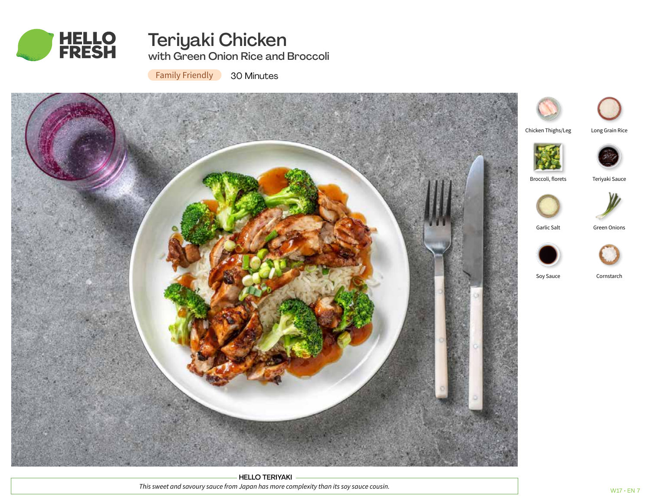

# Teriyaki Chicken

with Green Onion Rice and Broccoli

**Family Friendly** 

30 Minutes



HELLO TERIYAKI *This sweet and savoury sauce from Japan has more complexity than its soy sauce cousin.*